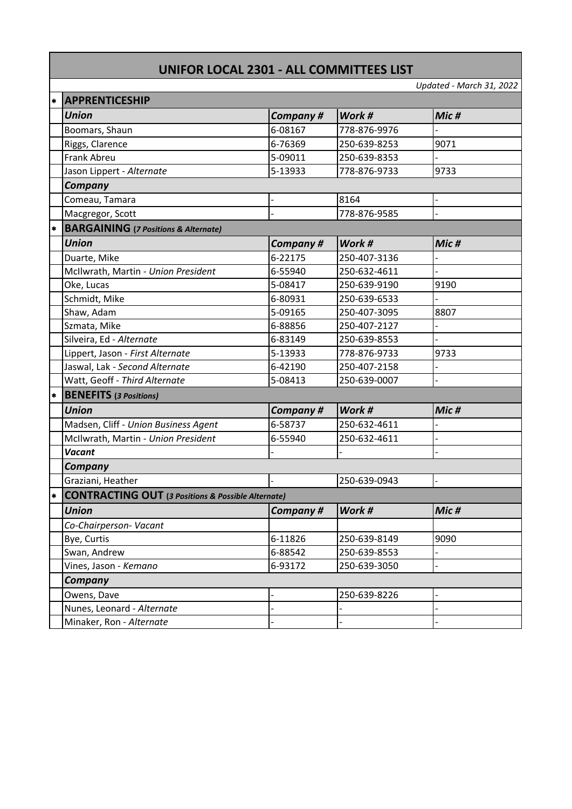## **UNIFOR LOCAL 2301 - ALL COMMITTEES LIST**

*Updated - March 31, 2022*

| $\ast$                                  | <b>APPRENTICESHIP</b>                                         |                 |              |                  |  |
|-----------------------------------------|---------------------------------------------------------------|-----------------|--------------|------------------|--|
|                                         | <b>Union</b>                                                  | <b>Company#</b> | Work #       | Mic <sub>#</sub> |  |
|                                         | Boomars, Shaun                                                | 6-08167         | 778-876-9976 |                  |  |
|                                         | Riggs, Clarence                                               | 6-76369         | 250-639-8253 | 9071             |  |
|                                         | Frank Abreu                                                   | 5-09011         | 250-639-8353 |                  |  |
|                                         | Jason Lippert - Alternate                                     | 5-13933         | 778-876-9733 | 9733             |  |
|                                         | Company                                                       |                 |              |                  |  |
|                                         | Comeau, Tamara                                                |                 | 8164         |                  |  |
|                                         | Macgregor, Scott                                              |                 | 778-876-9585 |                  |  |
| $\ast$                                  | <b>BARGAINING</b> (7 Positions & Alternate)                   |                 |              |                  |  |
|                                         | <b>Union</b>                                                  | <b>Company#</b> | Work #       | Mic <sub>#</sub> |  |
|                                         | Duarte, Mike                                                  | 6-22175         | 250-407-3136 |                  |  |
|                                         | McIlwrath, Martin - Union President                           | 6-55940         | 250-632-4611 |                  |  |
|                                         | Oke, Lucas                                                    | 5-08417         | 250-639-9190 | 9190             |  |
|                                         | Schmidt, Mike                                                 | 6-80931         | 250-639-6533 |                  |  |
|                                         | Shaw, Adam                                                    | 5-09165         | 250-407-3095 | 8807             |  |
|                                         | Szmata, Mike                                                  | 6-88856         | 250-407-2127 |                  |  |
|                                         | Silveira, Ed - Alternate                                      | 6-83149         | 250-639-8553 |                  |  |
|                                         | Lippert, Jason - First Alternate                              | 5-13933         | 778-876-9733 | 9733             |  |
|                                         | Jaswal, Lak - Second Alternate                                | 6-42190         | 250-407-2158 |                  |  |
|                                         | Watt, Geoff - Third Alternate                                 | 5-08413         | 250-639-0007 |                  |  |
| <b>BENEFITS</b> (3 Positions)<br>$\ast$ |                                                               |                 |              |                  |  |
|                                         | <b>Union</b>                                                  | <b>Company#</b> | Work #       | Mic <sub>#</sub> |  |
|                                         | Madsen, Cliff - Union Business Agent                          | 6-58737         | 250-632-4611 |                  |  |
|                                         | McIlwrath, Martin - Union President                           | 6-55940         | 250-632-4611 |                  |  |
|                                         | <b>Vacant</b>                                                 |                 |              |                  |  |
| Company                                 |                                                               |                 |              |                  |  |
|                                         | Graziani, Heather                                             |                 | 250-639-0943 |                  |  |
| $\pmb{\ast}$                            | <b>CONTRACTING OUT (3 Positions &amp; Possible Alternate)</b> |                 |              |                  |  |
|                                         | <b>Union</b>                                                  | <b>Company#</b> | Work #       | Mic <sub>#</sub> |  |
|                                         | Co-Chairperson- Vacant                                        |                 |              |                  |  |
|                                         | Bye, Curtis                                                   | 6-11826         | 250-639-8149 | 9090             |  |
|                                         | Swan, Andrew                                                  | 6-88542         | 250-639-8553 |                  |  |
|                                         | Vines, Jason - Kemano                                         | 6-93172         | 250-639-3050 |                  |  |
|                                         | Company                                                       |                 |              |                  |  |
|                                         | Owens, Dave                                                   |                 | 250-639-8226 |                  |  |
|                                         | Nunes, Leonard - Alternate                                    |                 |              |                  |  |
|                                         | Minaker, Ron - Alternate                                      |                 |              |                  |  |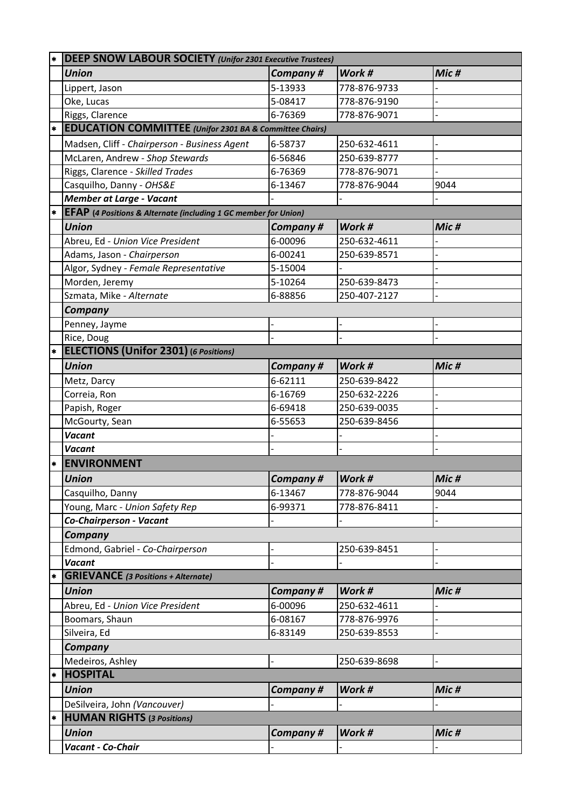|                      | <b>DEEP SNOW LABOUR SOCIETY (Unifor 2301 Executive Trustees)</b>       |                 |              |                  |  |  |
|----------------------|------------------------------------------------------------------------|-----------------|--------------|------------------|--|--|
|                      | <b>Union</b>                                                           | Company#        | Work #       | Mic <sub>#</sub> |  |  |
|                      | Lippert, Jason                                                         | 5-13933         | 778-876-9733 |                  |  |  |
|                      | Oke, Lucas                                                             | 5-08417         | 778-876-9190 |                  |  |  |
|                      | Riggs, Clarence                                                        | 6-76369         | 778-876-9071 |                  |  |  |
| $\pmb{\ast}$         | <b>EDUCATION COMMITTEE</b> (Unifor 2301 BA & Committee Chairs)         |                 |              |                  |  |  |
|                      | Madsen, Cliff - Chairperson - Business Agent                           | 6-58737         | 250-632-4611 |                  |  |  |
|                      | McLaren, Andrew - Shop Stewards                                        | 6-56846         | 250-639-8777 |                  |  |  |
|                      | Riggs, Clarence - Skilled Trades                                       | 6-76369         | 778-876-9071 |                  |  |  |
|                      | Casquilho, Danny - OHS&E                                               | 6-13467         | 778-876-9044 | 9044             |  |  |
|                      | <b>Member at Large - Vacant</b>                                        |                 |              |                  |  |  |
| $\ast$               | <b>EFAP</b> (4 Positions & Alternate (including 1 GC member for Union) |                 |              |                  |  |  |
|                      | <b>Union</b>                                                           | <b>Company#</b> | Work #       | Mic <sub>#</sub> |  |  |
|                      | Abreu, Ed - Union Vice President                                       | 6-00096         | 250-632-4611 |                  |  |  |
|                      | Adams, Jason - Chairperson                                             | 6-00241         | 250-639-8571 |                  |  |  |
|                      | Algor, Sydney - Female Representative                                  | 5-15004         |              |                  |  |  |
|                      | Morden, Jeremy                                                         | 5-10264         | 250-639-8473 |                  |  |  |
|                      | Szmata, Mike - Alternate                                               | 6-88856         | 250-407-2127 |                  |  |  |
|                      | Company                                                                |                 |              |                  |  |  |
|                      | Penney, Jayme                                                          |                 |              |                  |  |  |
|                      | Rice, Doug                                                             |                 |              |                  |  |  |
| $\ddot{\phantom{1}}$ | <b>ELECTIONS (Unifor 2301) (6 Positions)</b>                           |                 |              |                  |  |  |
|                      | <b>Union</b>                                                           | Company#        | Work #       | Mic <sub>#</sub> |  |  |
|                      | Metz, Darcy                                                            | 6-62111         | 250-639-8422 |                  |  |  |
|                      | Correia, Ron                                                           | 6-16769         | 250-632-2226 |                  |  |  |
|                      | Papish, Roger                                                          | 6-69418         | 250-639-0035 |                  |  |  |
|                      | McGourty, Sean                                                         | 6-55653         | 250-639-8456 |                  |  |  |
|                      | <b>Vacant</b>                                                          |                 |              |                  |  |  |
|                      | <b>Vacant</b>                                                          |                 |              |                  |  |  |
| $\ast$               | <b>ENVIRONMENT</b>                                                     |                 |              |                  |  |  |
|                      | <b>Union</b>                                                           | Company#        | Work #       | Mic#             |  |  |
|                      | Casquilho, Danny                                                       | 6-13467         | 778-876-9044 | 9044             |  |  |
|                      | Young, Marc - Union Safety Rep                                         | 6-99371         | 778-876-8411 |                  |  |  |
|                      | Co-Chairperson - Vacant                                                |                 |              |                  |  |  |
|                      | Company                                                                |                 |              |                  |  |  |
|                      | Edmond, Gabriel - Co-Chairperson                                       |                 | 250-639-8451 |                  |  |  |
|                      | <b>Vacant</b>                                                          |                 |              |                  |  |  |
| $\ast$               | <b>GRIEVANCE</b> (3 Positions + Alternate)                             |                 |              |                  |  |  |
|                      | <b>Union</b>                                                           | <b>Company#</b> | Work #       | Mic <sub>#</sub> |  |  |
|                      | Abreu, Ed - Union Vice President                                       | 6-00096         | 250-632-4611 |                  |  |  |
|                      | Boomars, Shaun                                                         | 6-08167         | 778-876-9976 |                  |  |  |
|                      | Silveira, Ed                                                           | 6-83149         | 250-639-8553 |                  |  |  |
|                      | Company                                                                |                 |              |                  |  |  |
|                      | Medeiros, Ashley                                                       |                 | 250-639-8698 |                  |  |  |
| $\ast$               | <b>HOSPITAL</b>                                                        |                 |              |                  |  |  |
|                      | <b>Union</b>                                                           | <b>Company#</b> | Work #       | Mic#             |  |  |
|                      | DeSilveira, John (Vancouver)                                           |                 |              |                  |  |  |
| $\pmb{*}$            | <b>HUMAN RIGHTS (3 Positions)</b>                                      |                 |              |                  |  |  |
|                      | <b>Union</b>                                                           | <b>Company#</b> | Work #       | Mic <sub>#</sub> |  |  |
|                      | Vacant - Co-Chair                                                      |                 |              |                  |  |  |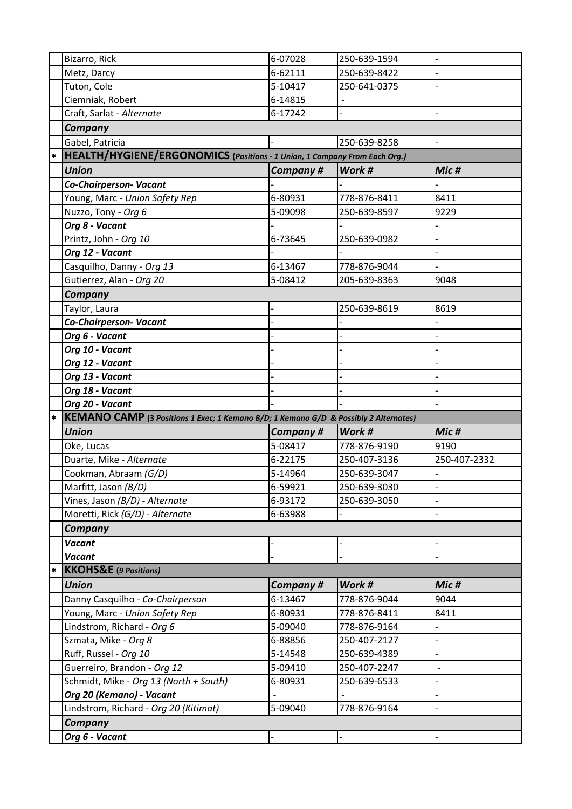|        | Bizarro, Rick                                                                                        | 6-07028                    | 250-639-1594 |                          |
|--------|------------------------------------------------------------------------------------------------------|----------------------------|--------------|--------------------------|
|        | Metz, Darcy                                                                                          | 6-62111                    | 250-639-8422 |                          |
|        | Tuton, Cole                                                                                          | 5-10417                    | 250-641-0375 |                          |
|        | Ciemniak, Robert                                                                                     | 6-14815                    |              |                          |
|        | Craft, Sarlat - Alternate                                                                            | 6-17242                    |              |                          |
|        | Company                                                                                              |                            |              |                          |
|        | Gabel, Patricia                                                                                      |                            | 250-639-8258 |                          |
| $\ast$ | HEALTH/HYGIENE/ERGONOMICS (Positions - 1 Union, 1 Company From Each Org.)                            |                            |              |                          |
|        | <b>Union</b>                                                                                         | Company#                   | Work #       | Mic <sub>#</sub>         |
|        | <b>Co-Chairperson- Vacant</b>                                                                        |                            |              |                          |
|        | Young, Marc - Union Safety Rep                                                                       | 6-80931                    | 778-876-8411 | 8411                     |
|        | Nuzzo, Tony - Org 6                                                                                  | 5-09098                    | 250-639-8597 | 9229                     |
|        | Org 8 - Vacant                                                                                       |                            |              |                          |
|        | Printz, John - Org 10                                                                                | 6-73645                    | 250-639-0982 |                          |
|        | Org 12 - Vacant                                                                                      |                            |              |                          |
|        | Casquilho, Danny - Org 13                                                                            | 6-13467                    | 778-876-9044 |                          |
|        | Gutierrez, Alan - Org 20                                                                             | 5-08412                    | 205-639-8363 | 9048                     |
|        | Company                                                                                              |                            |              |                          |
|        | Taylor, Laura                                                                                        |                            | 250-639-8619 | 8619                     |
|        | <b>Co-Chairperson- Vacant</b>                                                                        |                            |              |                          |
|        | Org 6 - Vacant                                                                                       |                            |              |                          |
|        | Org 10 - Vacant                                                                                      |                            |              |                          |
|        | Org 12 - Vacant                                                                                      |                            |              |                          |
|        | Org 13 - Vacant                                                                                      |                            |              |                          |
|        | Org 18 - Vacant                                                                                      |                            |              |                          |
|        |                                                                                                      |                            |              |                          |
|        |                                                                                                      |                            |              |                          |
| $\ast$ | Org 20 - Vacant                                                                                      |                            |              |                          |
|        | KEMANO CAMP (3 Positions 1 Exec; 1 Kemano B/D; 1 Kemano G/D & Possibly 2 Alternates)<br><b>Union</b> |                            | Work #       | Mic <sub>#</sub>         |
|        |                                                                                                      | Company#<br>5-08417        | 778-876-9190 | 9190                     |
|        | Oke, Lucas                                                                                           | 6-22175                    | 250-407-3136 |                          |
|        | Duarte, Mike - Alternate                                                                             | 5-14964                    | 250-639-3047 | 250-407-2332             |
|        | Cookman, Abraam (G/D)                                                                                | 6-59921                    | 250-639-3030 |                          |
|        | Marfitt, Jason (B/D)<br>Vines, Jason (B/D) - Alternate                                               | 6-93172                    | 250-639-3050 |                          |
|        | Moretti, Rick (G/D) - Alternate                                                                      | 6-63988                    |              |                          |
|        |                                                                                                      |                            |              |                          |
|        | Company<br><b>Vacant</b>                                                                             |                            |              |                          |
|        | <b>Vacant</b>                                                                                        |                            |              |                          |
| $\ast$ | <b>KKOHS&amp;E</b> (9 Positions)                                                                     |                            |              |                          |
|        | <b>Union</b>                                                                                         |                            | Work #       | Mic <sub>#</sub>         |
|        |                                                                                                      | <b>Company#</b><br>6-13467 | 778-876-9044 | 9044                     |
|        | Danny Casquilho - Co-Chairperson                                                                     | 6-80931                    | 778-876-8411 | 8411                     |
|        | Young, Marc - Union Safety Rep<br>Lindstrom, Richard - Org 6                                         | 5-09040                    | 778-876-9164 |                          |
|        | Szmata, Mike - Org 8                                                                                 | 6-88856                    | 250-407-2127 |                          |
|        | Ruff, Russel - Org 10                                                                                | 5-14548                    | 250-639-4389 |                          |
|        | Guerreiro, Brandon - Org 12                                                                          | 5-09410                    | 250-407-2247 | $\overline{\phantom{a}}$ |
|        | Schmidt, Mike - Org 13 (North + South)                                                               | 6-80931                    | 250-639-6533 |                          |
|        | Org 20 (Kemano) - Vacant                                                                             |                            |              |                          |
|        | Lindstrom, Richard - Org 20 (Kitimat)                                                                | 5-09040                    | 778-876-9164 |                          |
|        | Company                                                                                              |                            |              |                          |
|        | Org 6 - Vacant                                                                                       |                            |              |                          |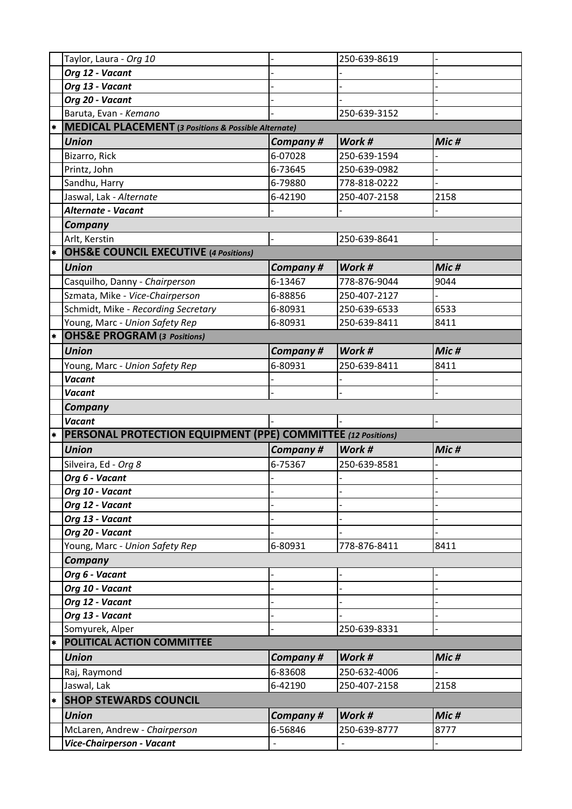|              | Taylor, Laura - Org 10                                       |                 | 250-639-8619 |                  |
|--------------|--------------------------------------------------------------|-----------------|--------------|------------------|
|              | Org 12 - Vacant                                              |                 |              |                  |
|              | Org 13 - Vacant                                              |                 |              |                  |
|              | Org 20 - Vacant                                              |                 |              |                  |
|              | Baruta, Evan - Kemano                                        |                 | 250-639-3152 |                  |
| $\ast$       | <b>MEDICAL PLACEMENT</b> (3 Positions & Possible Alternate)  |                 |              |                  |
|              | <b>Union</b>                                                 | Company#        | Work #       | Mic <sub>#</sub> |
|              | Bizarro, Rick                                                | 6-07028         | 250-639-1594 |                  |
|              | Printz, John                                                 | 6-73645         | 250-639-0982 |                  |
|              | Sandhu, Harry                                                | 6-79880         | 778-818-0222 |                  |
|              | Jaswal, Lak - Alternate                                      | 6-42190         | 250-407-2158 | 2158             |
|              | Alternate - Vacant                                           |                 |              |                  |
|              | Company                                                      |                 |              |                  |
|              | Arlt, Kerstin                                                |                 | 250-639-8641 |                  |
|              | <b>OHS&amp;E COUNCIL EXECUTIVE (4 Positions)</b>             |                 |              |                  |
|              | <b>Union</b>                                                 | Company#        | Work #       | Mic#             |
|              | Casquilho, Danny - Chairperson                               | 6-13467         | 778-876-9044 | 9044             |
|              | Szmata, Mike - Vice-Chairperson                              | 6-88856         | 250-407-2127 |                  |
|              | Schmidt, Mike - Recording Secretary                          | 6-80931         | 250-639-6533 | 6533             |
|              | Young, Marc - Union Safety Rep                               | 6-80931         | 250-639-8411 | 8411             |
| $\ast$       | <b>OHS&amp;E PROGRAM (3 Positions)</b>                       |                 |              |                  |
|              | <b>Union</b>                                                 | Company#        | Work #       | Mic <sub>#</sub> |
|              | Young, Marc - Union Safety Rep                               | 6-80931         | 250-639-8411 | 8411             |
|              | <b>Vacant</b>                                                |                 |              |                  |
|              | <b>Vacant</b>                                                |                 |              |                  |
|              |                                                              |                 |              |                  |
|              |                                                              |                 |              |                  |
|              | Company                                                      |                 |              |                  |
|              | <b>Vacant</b>                                                |                 |              |                  |
| $\pmb{\ast}$ | PERSONAL PROTECTION EQUIPMENT (PPE) COMMITTEE (12 Positions) |                 |              |                  |
|              | <b>Union</b>                                                 | <b>Company#</b> | Work #       | Mic <sub>#</sub> |
|              | Silveira, Ed - Org 8                                         | 6-75367         | 250-639-8581 |                  |
|              | Org 6 - Vacant                                               |                 |              |                  |
|              | Org 10 - Vacant                                              |                 |              |                  |
|              | Org 12 - Vacant                                              |                 |              |                  |
|              | Org 13 - Vacant                                              |                 |              |                  |
|              | Org 20 - Vacant                                              |                 |              |                  |
|              | Young, Marc - Union Safety Rep                               | 6-80931         | 778-876-8411 | 8411             |
|              | Company                                                      |                 |              |                  |
|              | Org 6 - Vacant                                               |                 |              |                  |
|              | Org 10 - Vacant                                              |                 |              |                  |
|              | Org 12 - Vacant                                              |                 |              |                  |
|              | Org 13 - Vacant                                              |                 |              |                  |
| $\ast$       | Somyurek, Alper                                              |                 | 250-639-8331 |                  |
|              | POLITICAL ACTION COMMITTEE                                   |                 |              |                  |
|              | <b>Union</b>                                                 | Company#        | Work #       | Mic <sub>#</sub> |
|              | Raj, Raymond                                                 | 6-83608         | 250-632-4006 |                  |
|              | Jaswal, Lak                                                  | 6-42190         | 250-407-2158 | 2158             |
| $\ast$       | <b>SHOP STEWARDS COUNCIL</b>                                 |                 |              |                  |
|              | <b>Union</b>                                                 | <b>Company#</b> | Work #       | Mic#             |
|              | McLaren, Andrew - Chairperson<br>Vice-Chairperson - Vacant   | 6-56846         | 250-639-8777 | 8777             |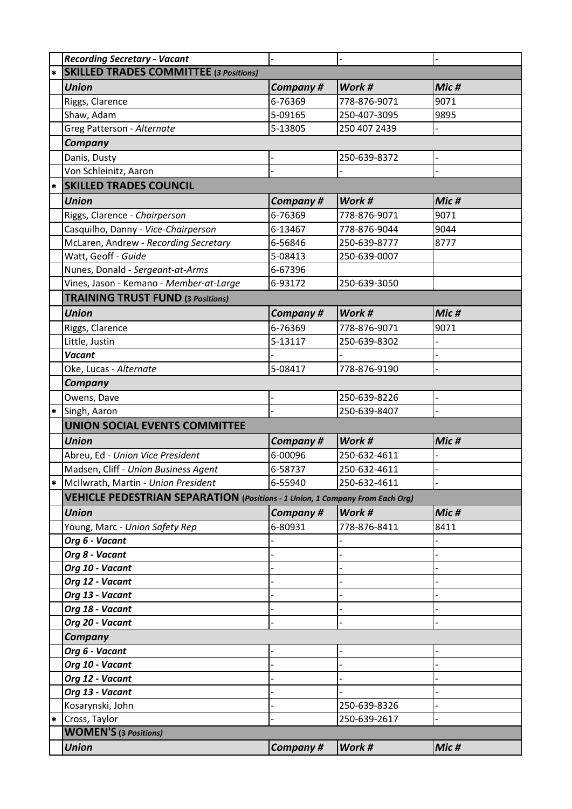|              | <b>Recording Secretary - Vacant</b>                                                 |                 |              |                  |  |
|--------------|-------------------------------------------------------------------------------------|-----------------|--------------|------------------|--|
| $\pmb{\ast}$ | <b>SKILLED TRADES COMMITTEE (3 Positions)</b>                                       |                 |              |                  |  |
|              | <b>Union</b>                                                                        | Company #       | Work #       | Mic <sub>#</sub> |  |
|              | Riggs, Clarence                                                                     | 6-76369         | 778-876-9071 | 9071             |  |
|              | Shaw, Adam                                                                          | 5-09165         | 250-407-3095 | 9895             |  |
|              | Greg Patterson - Alternate                                                          | 5-13805         | 250 407 2439 |                  |  |
|              | Company                                                                             |                 |              |                  |  |
|              | Danis, Dusty                                                                        |                 | 250-639-8372 |                  |  |
|              | Von Schleinitz, Aaron                                                               |                 |              |                  |  |
| $\ast$       | <b>SKILLED TRADES COUNCIL</b>                                                       |                 |              |                  |  |
|              | <b>Union</b>                                                                        | <b>Company#</b> | Work #       | Mic <sub>#</sub> |  |
|              | Riggs, Clarence - Chairperson                                                       | 6-76369         | 778-876-9071 | 9071             |  |
|              | Casquilho, Danny - Vice-Chairperson                                                 | 6-13467         | 778-876-9044 | 9044             |  |
|              | McLaren, Andrew - Recording Secretary                                               | 6-56846         | 250-639-8777 | 8777             |  |
|              | Watt, Geoff - Guide                                                                 | 5-08413         | 250-639-0007 |                  |  |
|              | Nunes, Donald - Sergeant-at-Arms                                                    | 6-67396         |              |                  |  |
|              | Vines, Jason - Kemano - Member-at-Large                                             | 6-93172         | 250-639-3050 |                  |  |
|              | <b>TRAINING TRUST FUND (3 Positions)</b>                                            |                 |              |                  |  |
|              | <b>Union</b>                                                                        | Company#        | Work #       | Mic <sub>#</sub> |  |
|              | Riggs, Clarence                                                                     | 6-76369         | 778-876-9071 | 9071             |  |
|              | Little, Justin                                                                      | 5-13117         | 250-639-8302 |                  |  |
|              | <b>Vacant</b>                                                                       |                 |              |                  |  |
|              | Oke, Lucas - Alternate                                                              | 5-08417         | 778-876-9190 |                  |  |
|              | Company                                                                             |                 |              |                  |  |
|              | Owens, Dave                                                                         |                 | 250-639-8226 |                  |  |
| $\pmb{\ast}$ | Singh, Aaron                                                                        |                 | 250-639-8407 |                  |  |
|              | <b>UNION SOCIAL EVENTS COMMITTEE</b>                                                |                 |              |                  |  |
|              | <b>Union</b>                                                                        | Company#        | Work #       | Mic <sub>#</sub> |  |
|              | Abreu, Ed - Union Vice President                                                    | 6-00096         | 250-632-4611 |                  |  |
|              | Madsen, Cliff - Union Business Agent                                                | 6-58737         | 250-632-4611 |                  |  |
|              | McIlwrath, Martin - Union President                                                 | $6 - 55940$     | 250-632-4611 |                  |  |
|              | <b>VEHICLE PEDESTRIAN SEPARATION</b> (Positions - 1 Union, 1 Company From Each Org) |                 |              |                  |  |
|              | <b>Union</b>                                                                        | Company#        | Work #       | Mic#             |  |
|              | Young, Marc - Union Safety Rep                                                      | 6-80931         | 778-876-8411 | 8411             |  |
|              | Org 6 - Vacant                                                                      |                 |              |                  |  |
|              | Org 8 - Vacant                                                                      |                 |              |                  |  |
|              | Org 10 - Vacant                                                                     |                 |              |                  |  |
|              | Org 12 - Vacant                                                                     |                 |              |                  |  |
|              | Org 13 - Vacant                                                                     |                 |              |                  |  |
|              | Org 18 - Vacant                                                                     |                 |              |                  |  |
|              | Org 20 - Vacant                                                                     |                 |              |                  |  |
|              | Company                                                                             |                 |              |                  |  |
|              | Org 6 - Vacant                                                                      |                 |              |                  |  |
|              | Org 10 - Vacant                                                                     |                 |              |                  |  |
|              | Org 12 - Vacant                                                                     |                 |              |                  |  |
|              | Org 13 - Vacant                                                                     |                 |              |                  |  |
|              | Kosarynski, John                                                                    |                 | 250-639-8326 |                  |  |
| $\ast$       | Cross, Taylor                                                                       |                 | 250-639-2617 |                  |  |
|              | <b>WOMEN'S (3 Positions)</b>                                                        |                 |              |                  |  |
|              | <b>Union</b>                                                                        | <b>Company#</b> | Work #       | Mic <sub>#</sub> |  |